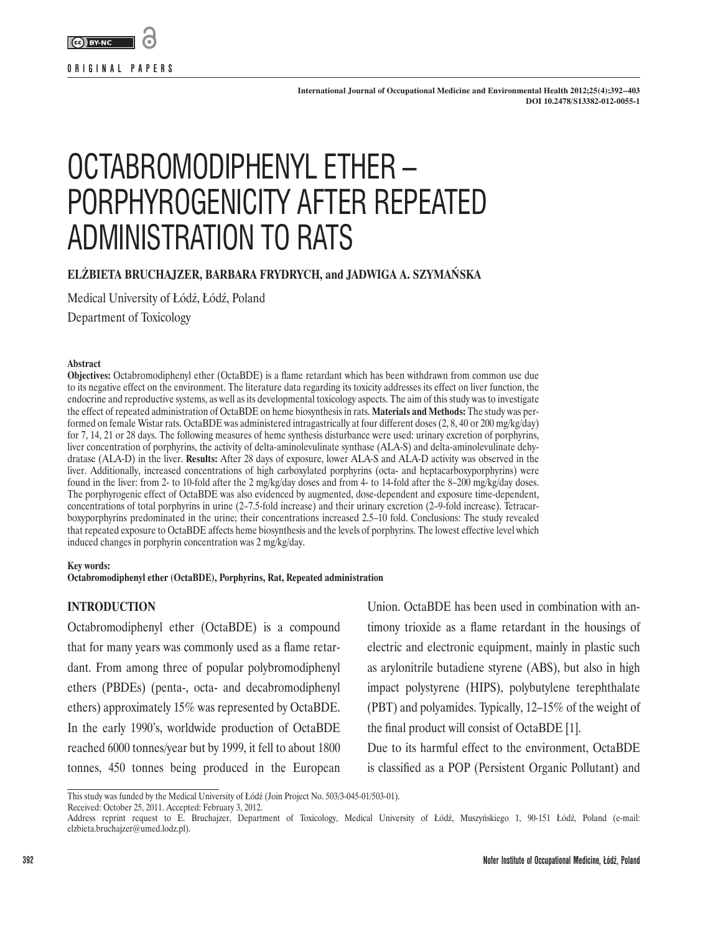

**ORIGINAL PAPERS**

# OCTABROMODIPHENYL ETHER – PORPHYROGENICITY AFTER REPEATED ADMINISTRATION TO RATS

## **ELŻBIETA BRUCHAJZER, BARBARA FRYDRYCH, and JADWIGA A. SZYMAŃSKA**

Medical University of Łódź, Łódź, Poland Department of Toxicology

#### **Abstract**

**Objectives:** Octabromodiphenyl ether (OctaBDE) is a flame retardant which has been withdrawn from common use due to its negative effect on the environment. The literature data regarding its toxicity addresses its effect on liver function, the endocrine and reproductive systems, as well as its developmental toxicology aspects. The aim of this study was to investigate the effect of repeated administration of OctaBDE on heme biosynthesis in rats. **Materials and Methods:** The study was performed on female Wistar rats. OctaBDE was administered intragastrically at four different doses (2, 8, 40 or 200 mg/kg/day) for 7, 14, 21 or 28 days. The following measures of heme synthesis disturbance were used: urinary excretion of porphyrins, liver concentration of porphyrins, the activity of delta-aminolevulinate synthase (ALA-S) and delta-aminolevulinate dehydratase (ALA-D) in the liver. **Results:** After 28 days of exposure, lower ALA-S and ALA-D activity was observed in the liver. Additionally, increased concentrations of high carboxylated porphyrins (octa- and heptacarboxyporphyrins) were found in the liver: from 2- to 10-fold after the 2 mg/kg/day doses and from 4- to 14-fold after the 8–200 mg/kg/day doses. The porphyrogenic effect of OctaBDE was also evidenced by augmented, dose-dependent and exposure time-dependent, concentrations of total porphyrins in urine (2–7.5-fold increase) and their urinary excretion (2–9-fold increase). Tetracarboxyporphyrins predominated in the urine; their concentrations increased 2.5–10 fold. Conclusions: The study revealed that repeated exposure to OctaBDE affects heme biosynthesis and the levels of porphyrins. The lowest effective level which induced changes in porphyrin concentration was 2 mg/kg/day.

#### **Key words:**

**Octabromodiphenyl ether (OctaBDE), Porphyrins, Rat, Repeated administration**

## **INTRODUCTION**

Octabromodiphenyl ether (OctaBDE) is a compound that for many years was commonly used as a flame retardant. From among three of popular polybromodiphenyl ethers (PBDEs) (penta-, octa- and decabromodiphenyl ethers) approximately 15% was represented by OctaBDE. In the early 1990's, worldwide production of OctaBDE reached 6000 tonnes/year but by 1999, it fell to about 1800 tonnes, 450 tonnes being produced in the European

Union. OctaBDE has been used in combination with antimony trioxide as a flame retardant in the housings of electric and electronic equipment, mainly in plastic such as arylonitrile butadiene styrene (ABS), but also in high impact polystyrene (HIPS), polybutylene terephthalate (PBT) and polyamides. Typically, 12–15% of the weight of the final product will consist of OctaBDE [1].

Due to its harmful effect to the environment, OctaBDE is classified as a POP (Persistent Organic Pollutant) and

Received: October 25, 2011. Accepted: February 3, 2012.

This study was funded by the Medical University of Łódź (Join Project No. 503/3-045-01/503-01).

Address reprint request to E. Bruchajzer, Department of Toxicology, Medical University of Łódź, Muszyńskiego 1, 90-151 Łódź, Poland (e-mail: [elzbieta.bruchajzer@umed.lodz.pl](mailto:elzbieta.bruchajzer@umed.lodz.pl)).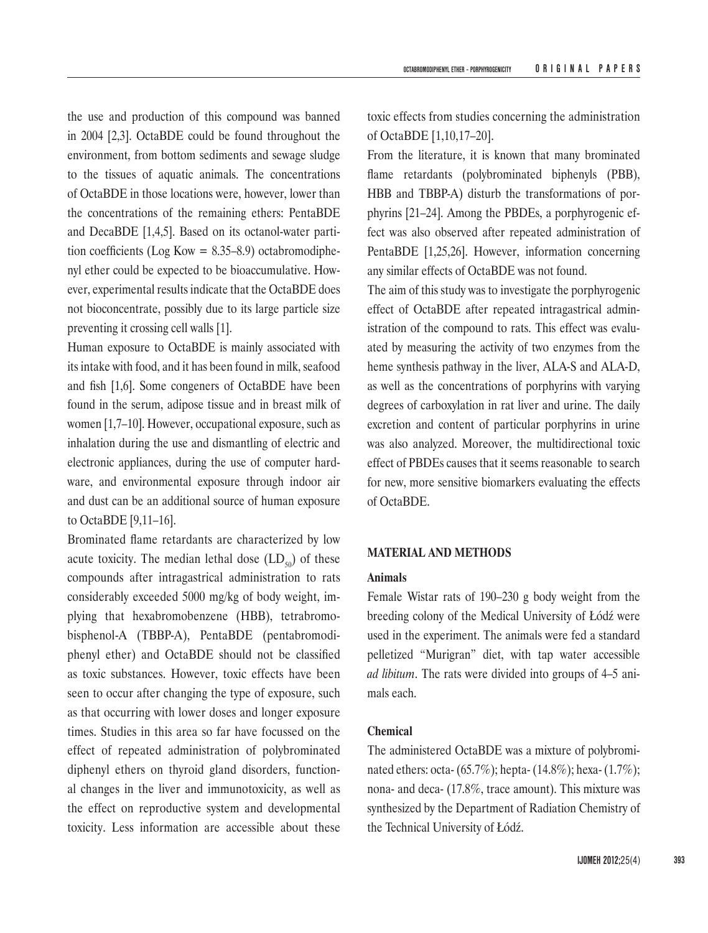the use and production of this compound was banned in 2004 [2,3]. OctaBDE could be found throughout the environment, from bottom sediments and sewage sludge to the tissues of aquatic animals. The concentrations of OctaBDE in those locations were, however, lower than the concentrations of the remaining ethers: PentaBDE and DecaBDE [1,4,5]. Based on its octanol-water partition coefficients (Log Kow =  $8.35-8.9$ ) octabromodiphenyl ether could be expected to be bioaccumulative. However, experimental results indicate that the OctaBDE does not bioconcentrate, possibly due to its large particle size preventing it crossing cell walls [1].

Human exposure to OctaBDE is mainly associated with its intake with food, and it has been found in milk, seafood and fish [1,6]. Some congeners of OctaBDE have been found in the serum, adipose tissue and in breast milk of women [1,7–10]. However, occupational exposure, such as inhalation during the use and dismantling of electric and electronic appliances, during the use of computer hardware, and environmental exposure through indoor air and dust can be an additional source of human exposure to OctaBDE [9,11–16].

Brominated flame retardants are characterized by low acute toxicity. The median lethal dose  $(LD_{50})$  of these compounds after intragastrical administration to rats considerably exceeded 5000 mg/kg of body weight, implying that hexabromobenzene (HBB), tetrabromobisphenol-A (TBBP-A), PentaBDE (pentabromodiphenyl ether) and OctaBDE should not be classified as toxic substances. However, toxic effects have been seen to occur after changing the type of exposure, such as that occurring with lower doses and longer exposure times. Studies in this area so far have focussed on the effect of repeated administration of polybrominated diphenyl ethers on thyroid gland disorders, functional changes in the liver and immunotoxicity, as well as the effect on reproductive system and developmental toxicity. Less information are accessible about these

toxic effects from studies concerning the administration of OctaBDE [1,10,17–20].

From the literature, it is known that many brominated flame retardants (polybrominated biphenyls (PBB), HBB and TBBP-A) disturb the transformations of porphyrins [21–24]. Among the PBDEs, a porphyrogenic effect was also observed after repeated administration of PentaBDE [1,25,26]. However, information concerning any similar effects of OctaBDE was not found.

The aim of this study was to investigate the porphyrogenic effect of OctaBDE after repeated intragastrical administration of the compound to rats. This effect was evaluated by measuring the activity of two enzymes from the heme synthesis pathway in the liver, ALA-S and ALA-D, as well as the concentrations of porphyrins with varying degrees of carboxylation in rat liver and urine. The daily excretion and content of particular porphyrins in urine was also analyzed. Moreover, the multidirectional toxic effect of PBDEs causes that it seems reasonable to search for new, more sensitive biomarkers evaluating the effects of OctaBDE.

#### **MATERIAL AND METHODS**

#### **Animals**

Female Wistar rats of 190–230 g body weight from the breeding colony of the Medical University of Łódź were used in the experiment. The animals were fed a standard pelletized "Murigran" diet, with tap water accessible *ad libitum*. The rats were divided into groups of 4–5 animals each.

# **Chemical**

The administered OctaBDE was a mixture of polybrominated ethers: octa- (65.7%); hepta- (14.8%); hexa- (1.7%); nona- and deca- (17.8%, trace amount). This mixture was synthesized by the Department of Radiation Chemistry of the Technical University of Łódź.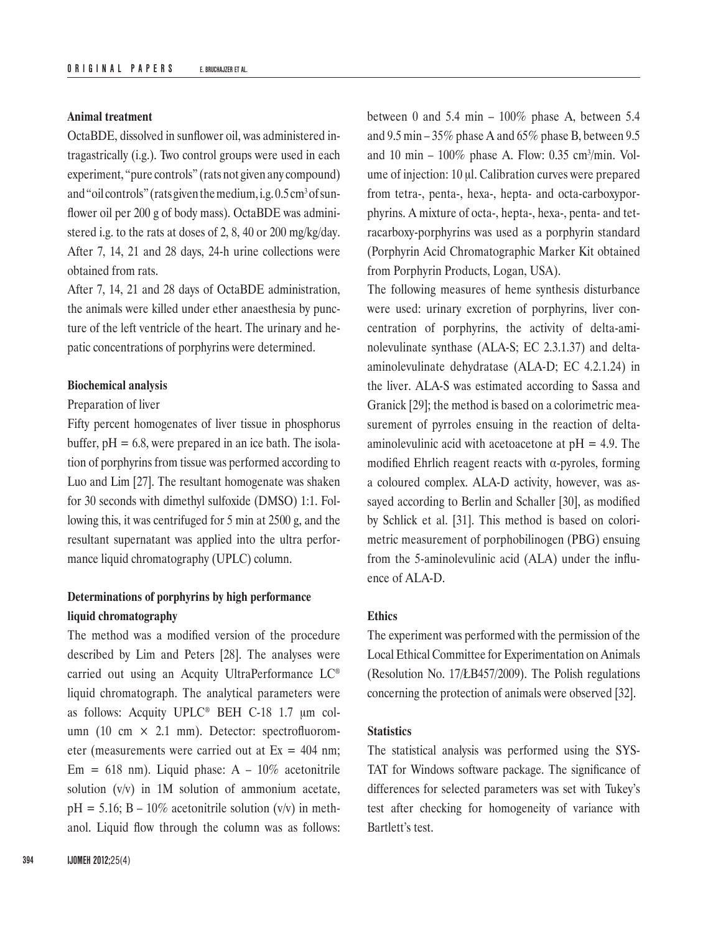## **Animal treatment**

OctaBDE, dissolved in sunflower oil, was administered intragastrically (i.g.). Two control groups were used in each experiment, "pure controls" (rats not given any compound) and "oil controls" (rats given the medium, i.g. 0.5 cm<sup>3</sup> of sunflower oil per 200 g of body mass). OctaBDE was administered i.g. to the rats at doses of 2, 8, 40 or 200 mg/kg/day. After 7, 14, 21 and 28 days, 24-h urine collections were obtained from rats.

After 7, 14, 21 and 28 days of OctaBDE administration, the animals were killed under ether anaesthesia by puncture of the left ventricle of the heart. The urinary and hepatic concentrations of porphyrins were determined.

#### **Biochemical analysis**

#### Preparation of liver

Fifty percent homogenates of liver tissue in phosphorus buffer,  $pH = 6.8$ , were prepared in an ice bath. The isolation of porphyrins from tissue was performed according to Luo and Lim [27]. The resultant homogenate was shaken for 30 seconds with dimethyl sulfoxide (DMSO) 1:1. Following this, it was centrifuged for 5 min at 2500 g, and the resultant supernatant was applied into the ultra performance liquid chromatography (UPLC) column.

# **Determinations of porphyrins by high performance liquid chromatography**

The method was a modified version of the procedure described by Lim and Peters [28]. The analyses were carried out using an Acquity UltraPerformance LC® liquid chromatograph. The analytical parameters were as follows: Acquity UPLC® BEH C-18 1.7 μm column (10 cm  $\times$  2.1 mm). Detector: spectrofluorometer (measurements were carried out at  $Ex = 404$  nm; Em = 618 nm). Liquid phase:  $A - 10\%$  acetonitrile solution  $(v/v)$  in 1M solution of ammonium acetate,  $pH = 5.16$ ; B – 10% acetonitrile solution (v/v) in methanol. Liquid flow through the column was as follows: between 0 and 5.4 min – 100% phase A, between 5.4 and 9.5 min – 35% phase A and 65% phase B, between 9.5 and 10 min  $-$  100% phase A. Flow: 0.35 cm<sup>3</sup>/min. Volume of injection: 10 μl. Calibration curves were prepared from tetra-, penta-, hexa-, hepta- and octa-carboxyporphyrins. A mixture of octa-, hepta-, hexa-, penta- and tetracarboxy-porphyrins was used as a porphyrin standard (Porphyrin Acid Chromatographic Marker Kit obtained from Porphyrin Products, Logan, USA).

The following measures of heme synthesis disturbance were used: urinary excretion of porphyrins, liver concentration of porphyrins, the activity of delta-aminolevulinate synthase (ALA-S; EC 2.3.1.37) and deltaaminolevulinate dehydratase (ALA-D; EC 4.2.1.24) in the liver. ALA-S was estimated according to Sassa and Granick [29]; the method is based on a colorimetric measurement of pyrroles ensuing in the reaction of deltaaminolevulinic acid with acetoacetone at  $pH = 4.9$ . The modified Ehrlich reagent reacts with  $\alpha$ -pyroles, forming a coloured complex. ALA-D activity, however, was assayed according to Berlin and Schaller [30], as modified by Schlick et al. [31]. This method is based on colorimetric measurement of porphobilinogen (PBG) ensuing from the 5-aminolevulinic acid (ALA) under the influence of ALA-D.

## **Ethics**

The experiment was performed with the permission of the Local Ethical Committee for Experimentation on Animals (Resolution No. 17/ŁB457/2009). The Polish regulations concerning the protection of animals were observed [32].

## **Statistics**

The statistical analysis was performed using the SYS-TAT for Windows software package. The significance of differences for selected parameters was set with Tukey's test after checking for homogeneity of variance with Bartlett's test.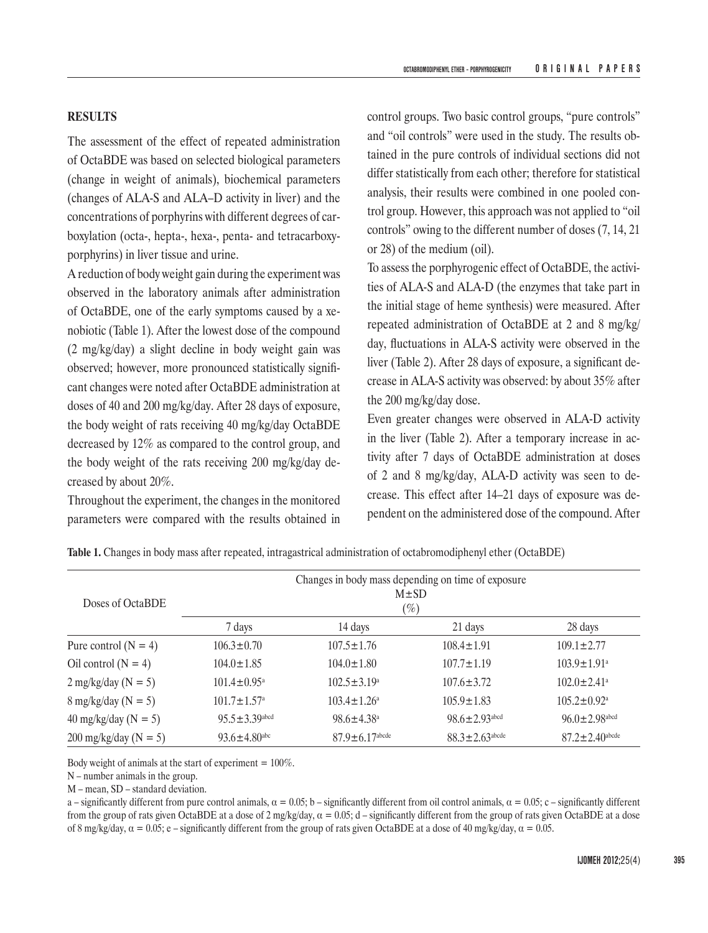# **RESULTS**

The assessment of the effect of repeated administration of OctaBDE was based on selected biological parameters (change in weight of animals), biochemical parameters (changes of ALA-S and ALA–D activity in liver) and the concentrations of porphyrins with different degrees of carboxylation (octa-, hepta-, hexa-, penta- and tetracarboxyporphyrins) in liver tissue and urine.

A reduction of body weight gain during the experiment was observed in the laboratory animals after administration of OctaBDE, one of the early symptoms caused by a xenobiotic (Table 1). After the lowest dose of the compound (2 mg/kg/day) a slight decline in body weight gain was observed; however, more pronounced statistically significant changes were noted after OctaBDE administration at doses of 40 and 200 mg/kg/day. After 28 days of exposure, the body weight of rats receiving 40 mg/kg/day OctaBDE decreased by 12% as compared to the control group, and the body weight of the rats receiving 200 mg/kg/day decreased by about 20%.

Throughout the experiment, the changes in the monitored parameters were compared with the results obtained in control groups. Two basic control groups, "pure controls" and "oil controls" were used in the study. The results obtained in the pure controls of individual sections did not differ statistically from each other; therefore for statistical analysis, their results were combined in one pooled control group. However, this approach was not applied to "oil controls" owing to the different number of doses (7, 14, 21 or 28) of the medium (oil).

To assess the porphyrogenic effect of OctaBDE, the activities of ALA-S and ALA-D (the enzymes that take part in the initial stage of heme synthesis) were measured. After repeated administration of OctaBDE at 2 and 8 mg/kg/ day, fluctuations in ALA-S activity were observed in the liver (Table 2). After 28 days of exposure, a significant decrease in ALA-S activity was observed: by about 35% after the 200 mg/kg/day dose.

Even greater changes were observed in ALA-D activity in the liver (Table 2). After a temporary increase in activity after 7 days of OctaBDE administration at doses of 2 and 8 mg/kg/day, ALA-D activity was seen to decrease. This effect after 14–21 days of exposure was dependent on the administered dose of the compound. After

|  |  |  | <b>Table 1.</b> Changes in body mass after repeated, intragastrical administration of octabromodiphenyl ether (OctaBDE) |  |  |
|--|--|--|-------------------------------------------------------------------------------------------------------------------------|--|--|
|  |  |  |                                                                                                                         |  |  |

| Doses of OctaBDE              | Changes in body mass depending on time of exposure<br>$M\pm SD$<br>$(\%)$ |                                  |                                  |                                  |  |
|-------------------------------|---------------------------------------------------------------------------|----------------------------------|----------------------------------|----------------------------------|--|
|                               | 7 days                                                                    | 14 days                          | 21 days                          | 28 days                          |  |
| Pure control $(N = 4)$        | $106.3 \pm 0.70$                                                          | $107.5 \pm 1.76$                 | $108.4 \pm 1.91$                 | $109.1 \pm 2.77$                 |  |
| Oil control $(N = 4)$         | $104.0 \pm 1.85$                                                          | $104.0 \pm 1.80$                 | $107.7 \pm 1.19$                 | $103.9 \pm 1.91$ <sup>a</sup>    |  |
| $2 \text{ mg/kg/day}$ (N = 5) | $101.4 \pm 0.95^{\text{a}}$                                               | $102.5 \pm 3.19^{\circ}$         | $107.6 \pm 3.72$                 | $102.0 \pm 2.41$ <sup>a</sup>    |  |
| $8 \text{ mg/kg/day}$ (N = 5) | $101.7 \pm 1.57$ <sup>a</sup>                                             | $103.4 \pm 1.26^a$               | $105.9 \pm 1.83$                 | $105.2 \pm 0.92$ <sup>a</sup>    |  |
| 40 mg/kg/day ( $N = 5$ )      | $95.5 \pm 3.39$ abcd                                                      | $98.6 \pm 4.38$ <sup>a</sup>     | $98.6 \pm 2.93$ abcd             | $96.0 + 2.98$ abcd               |  |
| 200 mg/kg/day ( $N = 5$ )     | $93.6 \pm 4.80$ <sup>abc</sup>                                            | $87.9 \pm 6.17$ <sup>abcde</sup> | $88.3 \pm 2.63$ <sup>abcde</sup> | $87.2 \pm 2.40$ <sup>abcde</sup> |  |

Body weight of animals at the start of experiment  $= 100\%$ .

N – number animals in the group.

M – mean, SD – standard deviation.

a – significantly different from pure control animals,  $\alpha = 0.05$ ; b – significantly different from oil control animals,  $\alpha = 0.05$ ; c – significantly different from the group of rats given OctaBDE at a dose of  $2 \text{ mg/kg/day}$ ,  $\alpha = 0.05$ ; d – significantly different from the group of rats given OctaBDE at a dose of 8 mg/kg/day,  $\alpha = 0.05$ ; e – significantly different from the group of rats given OctaBDE at a dose of 40 mg/kg/day,  $\alpha = 0.05$ .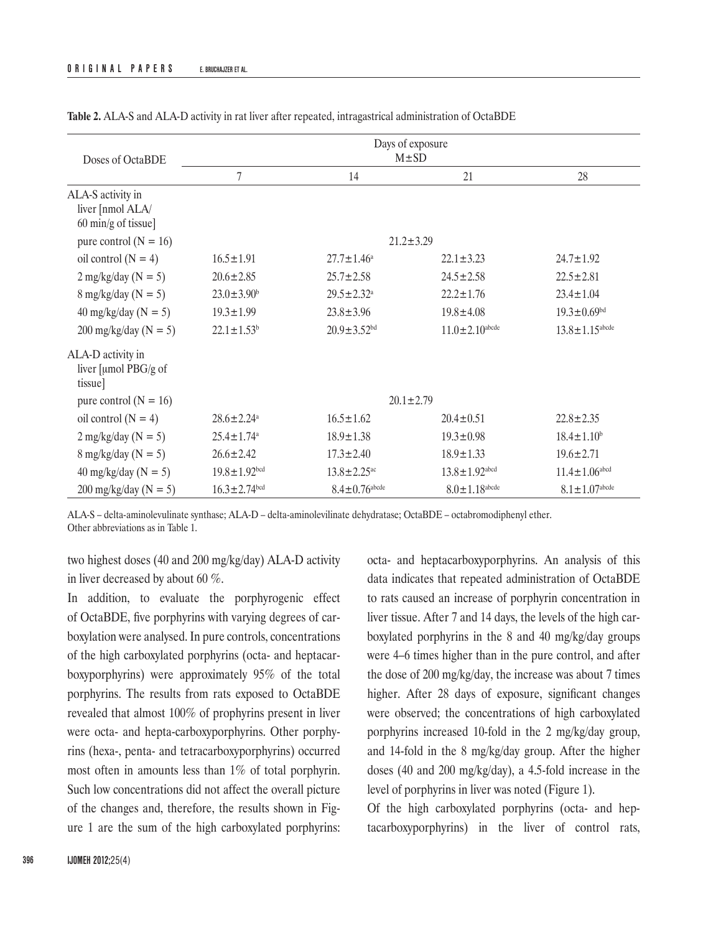| Doses of OctaBDE                                                      | Days of exposure<br>$M\pm SD$ |                                 |                       |                       |  |  |
|-----------------------------------------------------------------------|-------------------------------|---------------------------------|-----------------------|-----------------------|--|--|
|                                                                       | 7                             | 14                              | 21                    | 28                    |  |  |
| ALA-S activity in<br>liver [nmol ALA/<br>$60 \text{ min/g of tissue}$ |                               |                                 |                       |                       |  |  |
| pure control ( $N = 16$ )                                             | $21.2 \pm 3.29$               |                                 |                       |                       |  |  |
| oil control $(N = 4)$                                                 | $16.5 \pm 1.91$               | $27.7 \pm 1.46^a$               | $22.1 \pm 3.23$       | $24.7 \pm 1.92$       |  |  |
| $2 \text{ mg/kg/day}$ (N = 5)                                         | $20.6 \pm 2.85$               | $25.7 \pm 2.58$                 | $24.5 \pm 2.58$       | $22.5 \pm 2.81$       |  |  |
| $8 \text{ mg/kg/day}$ (N = 5)                                         | $23.0 \pm 3.90^b$             | $29.5 \pm 2.32^a$               | $22.2 \pm 1.76$       | $23.4 \pm 1.04$       |  |  |
| 40 mg/kg/day ( $N = 5$ )                                              | $19.3 \pm 1.99$               | $23.8 \pm 3.96$                 | $19.8 \pm 4.08$       | $19.3 \pm 0.69^{bd}$  |  |  |
| $200 \text{ mg/kg/day}$ (N = 5)                                       | $22.1 \pm 1.53^b$             | $20.9 \pm 3.52$ <sup>bd</sup>   | $11.0 \pm 2.10$ abcde | $13.8 \pm 1.15$ abcde |  |  |
| ALA-D activity in<br>liver [µmol PBG/g of<br>tissue]                  |                               |                                 |                       |                       |  |  |
| pure control ( $N = 16$ )                                             | $20.1 \pm 2.79$               |                                 |                       |                       |  |  |
| oil control $(N = 4)$                                                 | $28.6 \pm 2.24^a$             | $16.5 \pm 1.62$                 | $20.4 \pm 0.51$       | $22.8 \pm 2.35$       |  |  |
| $2 \text{ mg/kg/day}$ (N = 5)                                         | $25.4 \pm 1.74$ <sup>a</sup>  | $18.9 \pm 1.38$                 | $19.3 \pm 0.98$       | $18.4 \pm 1.10^b$     |  |  |
| $8 \text{ mg/kg/day}$ (N = 5)                                         | $26.6 \pm 2.42$               | $17.3 \pm 2.40$                 | $18.9 \pm 1.33$       | $19.6 \pm 2.71$       |  |  |
| 40 mg/kg/day ( $N = 5$ )                                              | $19.8 \pm 1.92$ bcd           | $13.8 \pm 2.25$ <sup>ac</sup>   | $13.8 \pm 1.92$ abcd  | $11.4 \pm 1.06$ abcd  |  |  |
| 200 mg/kg/day ( $N = 5$ )                                             | $16.3 \pm 2.74$ bcd           | $8.4 \pm 0.76$ <sup>abcde</sup> | $8.0 \pm 1.18$ abcde  | $8.1 \pm 1.07$ abcde  |  |  |

| <b>Table 2.</b> ALA-S and ALA-D activity in rat liver after repeated, intragastrical administration of OctaBDE |
|----------------------------------------------------------------------------------------------------------------|
|----------------------------------------------------------------------------------------------------------------|

ALA-S – delta-aminolevulinate synthase; ALA-D – delta-aminolevilinate dehydratase; OctaBDE – octabromodiphenyl ether. Other abbreviations as in Table 1.

two highest doses (40 and 200 mg/kg/day) ALA-D activity in liver decreased by about 60 %.

In addition, to evaluate the porphyrogenic effect of OctaBDE, five porphyrins with varying degrees of carboxylation were analysed. In pure controls, concentrations of the high carboxylated porphyrins (octa- and heptacarboxyporphyrins) were approximately 95% of the total porphyrins. The results from rats exposed to OctaBDE revealed that almost 100% of prophyrins present in liver were octa- and hepta-carboxyporphyrins. Other porphyrins (hexa-, penta- and tetracarboxyporphyrins) occurred most often in amounts less than 1% of total porphyrin. Such low concentrations did not affect the overall picture of the changes and, therefore, the results shown in Figure 1 are the sum of the high carboxylated porphyrins:

to rats caused an increase of porphyrin concentration in liver tissue. After 7 and 14 days, the levels of the high carboxylated porphyrins in the 8 and 40 mg/kg/day groups were 4–6 times higher than in the pure control, and after the dose of 200 mg/kg/day, the increase was about 7 times higher. After 28 days of exposure, significant changes were observed; the concentrations of high carboxylated porphyrins increased 10-fold in the 2 mg/kg/day group, and 14-fold in the 8 mg/kg/day group. After the higher doses (40 and 200 mg/kg/day), a 4.5-fold increase in the level of porphyrins in liver was noted (Figure 1). Of the high carboxylated porphyrins (octa- and hep-

octa- and heptacarboxyporphyrins. An analysis of this data indicates that repeated administration of OctaBDE

tacarboxyporphyrins) in the liver of control rats,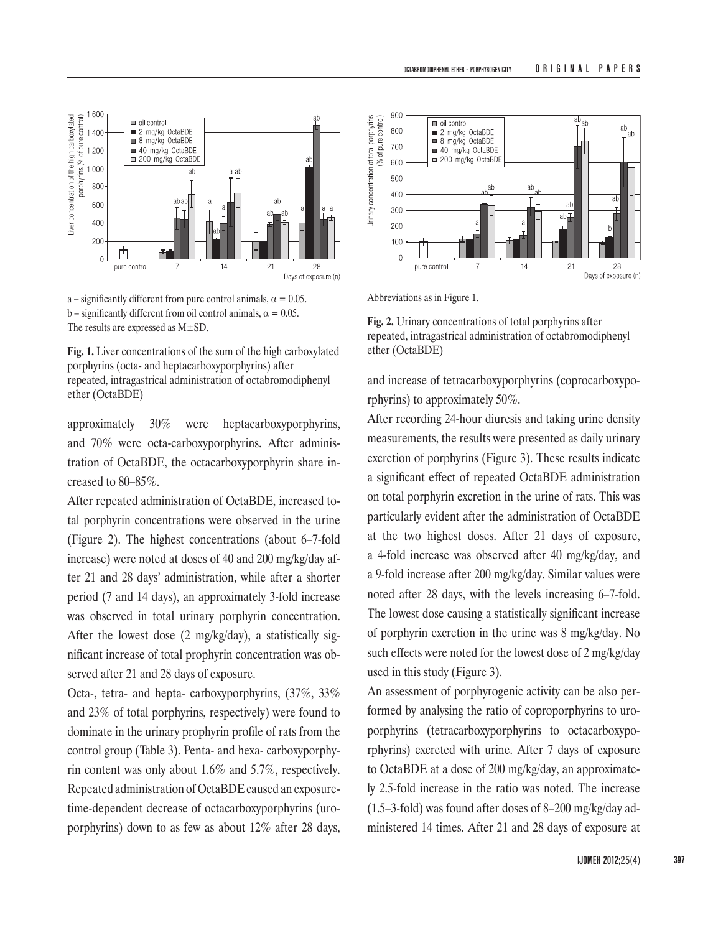



a – significantly different from pure control animals,  $\alpha = 0.05$ . b – significantly different from oil control animals,  $\alpha = 0.05$ . The results are expressed as M±SD.

**Fig. 1.** Liver concentrations of the sum of the high carboxylated porphyrins (octa- and heptacarboxyporphyrins) after repeated, intragastrical administration of octabromodiphenyl ether (OctaBDE)

approximately 30% were heptacarboxyporphyrins, and 70% were octa-carboxyporphyrins. After administration of OctaBDE, the octacarboxyporphyrin share increased to 80–85%.

After repeated administration of OctaBDE, increased total porphyrin concentrations were observed in the urine (Figure 2). The highest concentrations (about 6–7-fold increase) were noted at doses of 40 and 200 mg/kg/day after 21 and 28 days' administration, while after a shorter period (7 and 14 days), an approximately 3-fold increase was observed in total urinary porphyrin concentration. After the lowest dose (2 mg/kg/day), a statistically significant increase of total prophyrin concentration was observed after 21 and 28 days of exposure.

Octa-, tetra- and hepta- carboxyporphyrins, (37%, 33% and 23% of total porphyrins, respectively) were found to dominate in the urinary prophyrin profile of rats from the control group (Table 3). Penta- and hexa- carboxyporphyrin content was only about 1.6% and 5.7%, respectively. Repeated administration of OctaBDE caused an exposuretime-dependent decrease of octacarboxyporphyrins (uroporphyrins) down to as few as about 12% after 28 days,



Abbreviations as in Figure 1.

**Fig. 2.** Urinary concentrations of total porphyrins after repeated, intragastrical administration of octabromodiphenyl ether (OctaBDE)

and increase of tetracarboxyporphyrins (coprocarboxyporphyrins) to approximately 50%.

After recording 24-hour diuresis and taking urine density measurements, the results were presented as daily urinary excretion of porphyrins (Figure 3). These results indicate a significant effect of repeated OctaBDE administration on total porphyrin excretion in the urine of rats. This was particularly evident after the administration of OctaBDE at the two highest doses. After 21 days of exposure, a 4-fold increase was observed after 40 mg/kg/day, and a 9-fold increase after 200 mg/kg/day. Similar values were noted after 28 days, with the levels increasing 6–7-fold. The lowest dose causing a statistically significant increase of porphyrin excretion in the urine was 8 mg/kg/day. No such effects were noted for the lowest dose of 2 mg/kg/day used in this study (Figure 3).

An assessment of porphyrogenic activity can be also performed by analysing the ratio of coproporphyrins to uroporphyrins (tetracarboxyporphyrins to octacarboxyporphyrins) excreted with urine. After 7 days of exposure to OctaBDE at a dose of 200 mg/kg/day, an approximately 2.5-fold increase in the ratio was noted. The increase (1.5–3-fold) was found after doses of 8–200 mg/kg/day administered 14 times. After 21 and 28 days of exposure at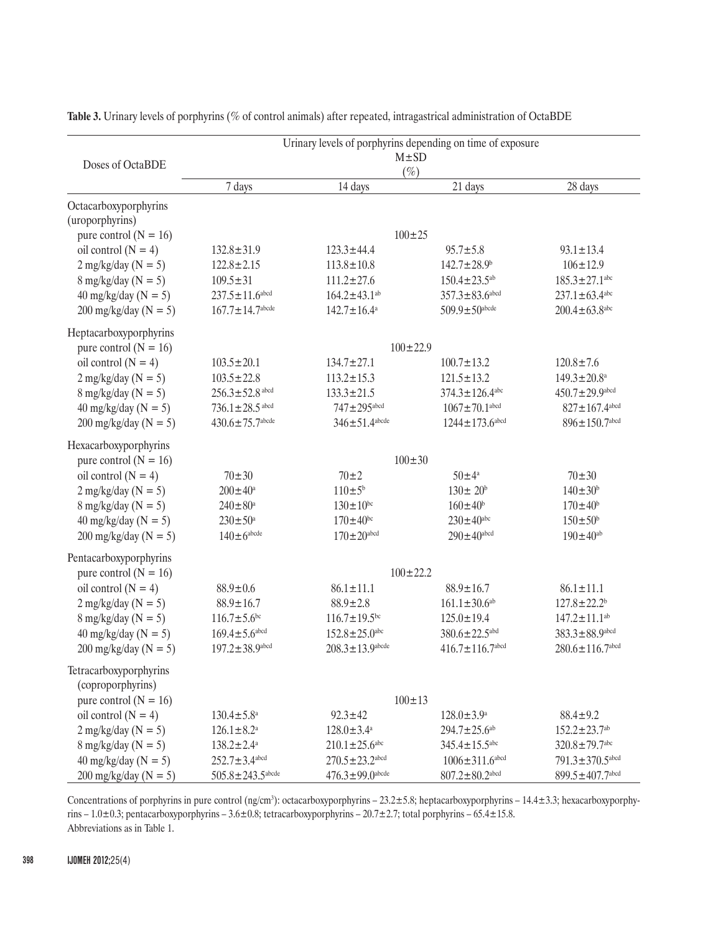| Doses of OctaBDE                                   | Urinary levels of porphyrins depending on time of exposure<br>$M \pm SD$<br>$(\%)$ |                                        |                                      |                                       |  |  |
|----------------------------------------------------|------------------------------------------------------------------------------------|----------------------------------------|--------------------------------------|---------------------------------------|--|--|
|                                                    | 7 days                                                                             | 14 days                                | 21 days                              | 28 days                               |  |  |
| Octacarboxyporphyrins<br>(uroporphyrins)           |                                                                                    |                                        |                                      |                                       |  |  |
| pure control ( $N = 16$ )                          |                                                                                    | $100 + 25$                             |                                      |                                       |  |  |
| oil control $(N = 4)$                              | $132.8 \pm 31.9$                                                                   | $123.3 \pm 44.4$                       | $95.7 \pm 5.8$                       | $93.1 \pm 13.4$                       |  |  |
| $2 \text{ mg/kg/day}$ (N = 5)                      | $122.8 \pm 2.15$                                                                   | $113.8 \pm 10.8$                       | $142.7 \pm 28.9$ <sup>b</sup>        | $106 \pm 12.9$                        |  |  |
| 8 mg/kg/day ( $N = 5$ )                            | $109.5 \pm 31$                                                                     | $111.2 \pm 27.6$                       | $150.4 \pm 23.5$ <sup>ab</sup>       | $185.3 \pm 27.1$ <sup>abc</sup>       |  |  |
| 40 mg/kg/day ( $N = 5$ )                           | $237.5 \pm 11.6$ abcd                                                              | $164.2 \pm 43.1^{ab}$                  | $357.3 \pm 83.6$ abcd                | $237.1 \pm 63.4$ <sup>abc</sup>       |  |  |
| 200 mg/kg/day ( $N = 5$ )                          | $167.7 \pm 14.7$ <sup>abcde</sup>                                                  | $142.7 \pm 16.4^a$                     | $509.9 \pm 50$ abcde                 | $200.4 \pm 63.8$ <sup>abc</sup>       |  |  |
| Heptacarboxyporphyrins                             |                                                                                    |                                        |                                      |                                       |  |  |
| pure control ( $N = 16$ )                          |                                                                                    | $100 \pm 22.9$                         |                                      |                                       |  |  |
| oil control $(N = 4)$                              | $103.5 \pm 20.1$<br>$103.5 \pm 22.8$                                               | $134.7 \pm 27.1$<br>$113.2 \pm 15.3$   | $100.7 \pm 13.2$<br>$121.5 \pm 13.2$ | $120.8 \pm 7.6$<br>$149.3 \pm 20.8^a$ |  |  |
| $2$ mg/kg/day (N = 5)                              |                                                                                    |                                        | $374.3 \pm 126.4$ <sup>abc</sup>     | $450.7 \pm 29.9$ abcd                 |  |  |
| 8 mg/kg/day ( $N = 5$ )                            | $256.3 \pm 52.8$ abcd<br>$736.1 \pm 28.5$ abcd                                     | $133.3 \pm 21.5$<br>$747 \pm 295$ abcd | $1067 \pm 70.1^{\text{abcd}}$        | $827 \pm 167.4$ abcd                  |  |  |
| 40 mg/kg/day ( $N = 5$ )                           | $430.6 \pm 75.7$ abcde                                                             |                                        |                                      |                                       |  |  |
| 200 mg/kg/day ( $N = 5$ )                          |                                                                                    | $346 \pm 51.4$ abcde                   | $1244 \pm 173.6$ abcd                | $896 \pm 150.7$ abcd                  |  |  |
| Hexacarboxyporphyrins<br>pure control ( $N = 16$ ) | $100 \pm 30$                                                                       |                                        |                                      |                                       |  |  |
| oil control $(N = 4)$                              | $70 + 30$                                                                          | $70 \pm 2$                             | $50\pm4^{\circ}$                     | $70 + 30$                             |  |  |
| $2$ mg/kg/day (N = 5)                              | $200 \pm 40^{\mathrm{a}}$                                                          | $110 \pm 5^{\rm b}$                    | $130 \pm 20^{\rm b}$                 | $140 \pm 30^b$                        |  |  |
| 8 mg/kg/day ( $N = 5$ )                            | $240 \pm 80^{\rm a}$                                                               | $130 \pm 10^{bc}$                      | $160 \pm 40^b$                       | $170 \pm 40^{\rm b}$                  |  |  |
| 40 mg/kg/day ( $N = 5$ )                           | $230 \pm 50^{\rm a}$                                                               | $170 \pm 40$ <sup>bc</sup>             | $230 \pm 40$ <sup>abc</sup>          | $150 \pm 50^{\circ}$                  |  |  |
| 200 mg/kg/day ( $N = 5$ )                          | $140 \pm 6^{\text{abcde}}$                                                         | $170 \pm 20$ abcd                      | $290 \pm 40$ abcd                    | $190 \pm 40^{ab}$                     |  |  |
| Pentacarboxyporphyrins                             |                                                                                    |                                        |                                      |                                       |  |  |
| pure control ( $N = 16$ )                          | $100 \pm 22.2$                                                                     |                                        |                                      |                                       |  |  |
| oil control $(N = 4)$                              | $88.9 \pm 0.6$                                                                     | $86.1 \pm 11.1$                        | $88.9 \pm 16.7$                      | $86.1 \pm 11.1$                       |  |  |
| $2$ mg/kg/day (N = 5)                              | $88.9 \pm 16.7$                                                                    | $88.9 \pm 2.8$                         | $161.1 \pm 30.6^{ab}$                | $127.8 \pm 22.2^b$                    |  |  |
| $8 \text{ mg/kg/day}$ (N = 5)                      | $116.7 \pm 5.6$ bc                                                                 | $116.7 \pm 19.5$ <sup>bc</sup>         | $125.0 \pm 19.4$                     | $147.2 \pm 11.1^{ab}$                 |  |  |
| 40 mg/kg/day ( $N = 5$ )                           | $169.4 \pm 5.6$ abcd                                                               | $152.8 \pm 25.0$ <sup>abc</sup>        | $380.6 \pm 22.5$ <sup>abd</sup>      | $383.3 \pm 88.9$ abcd                 |  |  |
| 200 mg/kg/day ( $N = 5$ )                          | $197.2 \pm 38.9$ abcd                                                              | $208.3 \pm 13.9$ abcde                 | $416.7 \pm 116.7$ abcd               | $280.6 \pm 116.7$ abcd                |  |  |
| Tetracarboxyporphyrins                             |                                                                                    |                                        |                                      |                                       |  |  |
| (coproporphyrins)                                  |                                                                                    |                                        |                                      |                                       |  |  |
| pure control ( $N = 16$ )                          | $100 \pm 13$                                                                       |                                        |                                      |                                       |  |  |
| oil control $(N = 4)$                              | $130.4 \pm 5.8^{\circ}$                                                            | $92.3 \pm 42$                          | $128.0 \pm 3.9^{\circ}$              | $88.4 \pm 9.2$                        |  |  |
| $2 \text{ mg/kg/day}$ (N = 5)                      | $126.1 \pm 8.2^a$                                                                  | $128.0 \pm 3.4^a$                      | $294.7 \pm 25.6$ <sup>ab</sup>       | $152.2 \pm 23.7$ <sup>ab</sup>        |  |  |
| 8 mg/kg/day ( $N = 5$ )                            | $138.2 \pm 2.4^a$                                                                  | $210.1 \pm 25.6$ <sup>abc</sup>        | $345.4 \pm 15.5$ <sup>abc</sup>      | $320.8 \pm 79.7$ <sup>abc</sup>       |  |  |
| 40 mg/kg/day ( $N = 5$ )                           | $252.7 \pm 3.4$ <sup>abcd</sup>                                                    | $270.5 \pm 23.2$ abcd                  | $1006 \pm 311.6$ abcd                | 791.3±370.5abcd                       |  |  |
| 200 mg/kg/day ( $N = 5$ )                          | $505.8 \pm 243.5$ abcde                                                            | $476.3 \pm 99.0$ abcde                 | $807.2 \pm 80.2$ abcd                | 899.5±407.7abcd                       |  |  |

**Table 3.** Urinary levels of porphyrins (% of control animals) after repeated, intragastrical administration of OctaBDE

Concentrations of porphyrins in pure control (ng/cm<sup>3</sup>): octacarboxyporphyrins – 23.2±5.8; heptacarboxyporphyrins – 14.4±3.3; hexacarboxyporphyrins – 1.0±0.3; pentacarboxyporphyrins – 3.6±0.8; tetracarboxyporphyrins – 20.7±2.7; total porphyrins – 65.4±15.8. Abbreviations as in Table 1.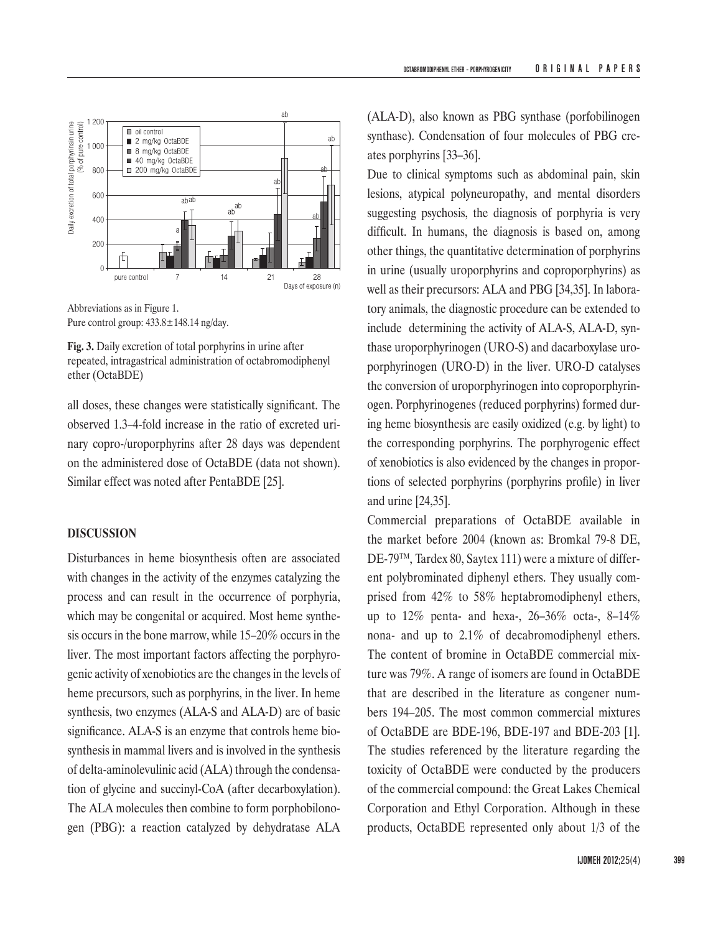

Abbreviations as in Figure 1. Pure control group: 433.8±148.14 ng/day.



all doses, these changes were statistically significant. The observed 1.3–4-fold increase in the ratio of excreted urinary copro-/uroporphyrins after 28 days was dependent on the administered dose of OctaBDE (data not shown). Similar effect was noted after PentaBDE [25].

## **DISCUSSION**

Disturbances in heme biosynthesis often are associated with changes in the activity of the enzymes catalyzing the process and can result in the occurrence of porphyria, which may be congenital or acquired. Most heme synthesis occurs in the bone marrow, while 15–20% occurs in the liver. The most important factors affecting the porphyrogenic activity of xenobiotics are the changes in the levels of heme precursors, such as porphyrins, in the liver. In heme synthesis, two enzymes (ALA-S and ALA-D) are of basic significance. ALA-S is an enzyme that controls heme biosynthesis in mammal livers and is involved in the synthesis of delta-aminolevulinic acid (ALA) through the condensation of glycine and succinyl-CoA (after decarboxylation). The ALA molecules then combine to form porphobilonogen (PBG): a reaction catalyzed by dehydratase ALA

(ALA-D), also known as PBG synthase (porfobilinogen synthase). Condensation of four molecules of PBG creates porphyrins [33–36].

Due to clinical symptoms such as abdominal pain, skin lesions, atypical polyneuropathy, and mental disorders suggesting psychosis, the diagnosis of porphyria is very difficult. In humans, the diagnosis is based on, among other things, the quantitative determination of porphyrins in urine (usually uroporphyrins and coproporphyrins) as well as their precursors: ALA and PBG [34,35]. In laboratory animals, the diagnostic procedure can be extended to include determining the activity of ALA-S, ALA-D, synthase uroporphyrinogen (URO-S) and dacarboxylase uroporphyrinogen (URO-D) in the liver. URO-D catalyses the conversion of uroporphyrinogen into coproporphyrinogen. Porphyrinogenes (reduced porphyrins) formed during heme biosynthesis are easily oxidized (e.g. by light) to the corresponding porphyrins. The porphyrogenic effect of xenobiotics is also evidenced by the changes in proportions of selected porphyrins (porphyrins profile) in liver and urine [24,35].

Commercial preparations of OctaBDE available in the market before 2004 (known as: Bromkal 79-8 DE, DE-79TM, Tardex 80, Saytex 111) were a mixture of different polybrominated diphenyl ethers. They usually comprised from 42% to 58% heptabromodiphenyl ethers, up to 12% penta- and hexa-, 26–36% octa-, 8–14% nona- and up to 2.1% of decabromodiphenyl ethers. The content of bromine in OctaBDE commercial mixture was 79%. A range of isomers are found in OctaBDE that are described in the literature as congener numbers 194–205. The most common commercial mixtures of OctaBDE are BDE-196, BDE-197 and BDE-203 [1]. The studies referenced by the literature regarding the toxicity of OctaBDE were conducted by the producers of the commercial compound: the Great Lakes Chemical Corporation and Ethyl Corporation. Although in these products, OctaBDE represented only about 1/3 of the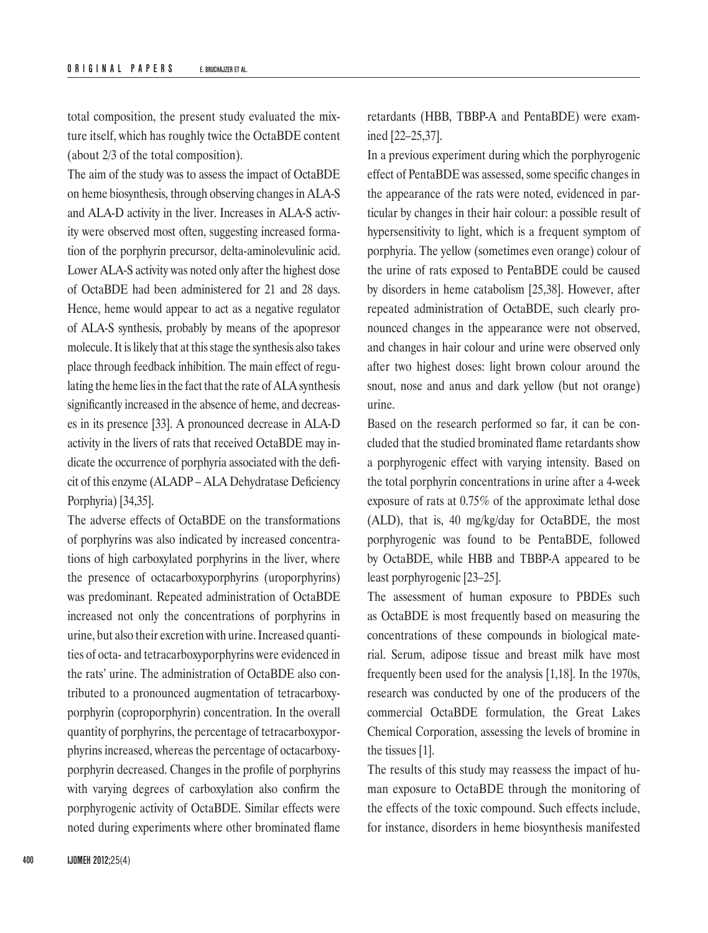total composition, the present study evaluated the mixture itself, which has roughly twice the OctaBDE content (about 2/3 of the total composition).

The aim of the study was to assess the impact of OctaBDE on heme biosynthesis, through observing changes in ALA-S and ALA-D activity in the liver. Increases in ALA-S activity were observed most often, suggesting increased formation of the porphyrin precursor, delta-aminolevulinic acid. Lower ALA-S activity was noted only after the highest dose of OctaBDE had been administered for 21 and 28 days. Hence, heme would appear to act as a negative regulator of ALA-S synthesis, probably by means of the apopresor molecule. It is likely that at this stage the synthesis also takes place through feedback inhibition. The main effect of regulating the heme lies in the fact that the rate of ALA synthesis significantly increased in the absence of heme, and decreases in its presence [33]. A pronounced decrease in ALA-D activity in the livers of rats that received OctaBDE may indicate the occurrence of porphyria associated with the deficit of this enzyme (ALADP – ALA Dehydratase Deficiency Porphyria) [34,35].

The adverse effects of OctaBDE on the transformations of porphyrins was also indicated by increased concentrations of high carboxylated porphyrins in the liver, where the presence of octacarboxyporphyrins (uroporphyrins) was predominant. Repeated administration of OctaBDE increased not only the concentrations of porphyrins in urine, but also their excretion with urine. Increased quantities of octa- and tetracarboxyporphyrins were evidenced in the rats' urine. The administration of OctaBDE also contributed to a pronounced augmentation of tetracarboxyporphyrin (coproporphyrin) concentration. In the overall quantity of porphyrins, the percentage of tetracarboxyporphyrins increased, whereas the percentage of octacarboxyporphyrin decreased. Changes in the profile of porphyrins with varying degrees of carboxylation also confirm the porphyrogenic activity of OctaBDE. Similar effects were noted during experiments where other brominated flame retardants (HBB, TBBP-A and PentaBDE) were examined [22–25,37].

In a previous experiment during which the porphyrogenic effect of PentaBDE was assessed, some specific changes in the appearance of the rats were noted, evidenced in particular by changes in their hair colour: a possible result of hypersensitivity to light, which is a frequent symptom of porphyria. The yellow (sometimes even orange) colour of the urine of rats exposed to PentaBDE could be caused by disorders in heme catabolism [25,38]. However, after repeated administration of OctaBDE, such clearly pronounced changes in the appearance were not observed, and changes in hair colour and urine were observed only after two highest doses: light brown colour around the snout, nose and anus and dark yellow (but not orange) urine.

Based on the research performed so far, it can be concluded that the studied brominated flame retardants show a porphyrogenic effect with varying intensity. Based on the total porphyrin concentrations in urine after a 4-week exposure of rats at 0.75% of the approximate lethal dose (ALD), that is, 40 mg/kg/day for OctaBDE, the most porphyrogenic was found to be PentaBDE, followed by OctaBDE, while HBB and TBBP-A appeared to be least porphyrogenic [23–25].

The assessment of human exposure to PBDEs such as OctaBDE is most frequently based on measuring the concentrations of these compounds in biological material. Serum, adipose tissue and breast milk have most frequently been used for the analysis [1,18]. In the 1970s, research was conducted by one of the producers of the commercial OctaBDE formulation, the Great Lakes Chemical Corporation, assessing the levels of bromine in the tissues [1].

The results of this study may reassess the impact of human exposure to OctaBDE through the monitoring of the effects of the toxic compound. Such effects include, for instance, disorders in heme biosynthesis manifested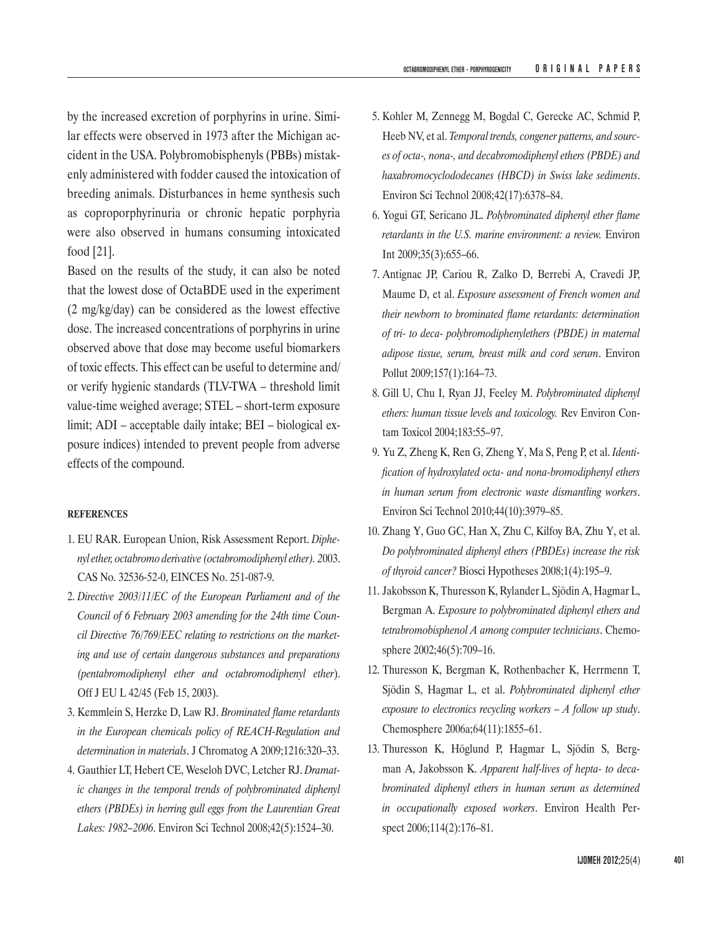by the increased excretion of porphyrins in urine. Similar effects were observed in 1973 after the Michigan accident in the USA. Polybromobisphenyls (PBBs) mistakenly administered with fodder caused the intoxication of breeding animals. Disturbances in heme synthesis such as coproporphyrinuria or chronic hepatic porphyria were also observed in humans consuming intoxicated food [21].

Based on the results of the study, it can also be noted that the lowest dose of OctaBDE used in the experiment (2 mg/kg/day) can be considered as the lowest effective dose. The increased concentrations of porphyrins in urine observed above that dose may become useful biomarkers of toxic effects. This effect can be useful to determine and/ or verify hygienic standards (TLV-TWA – threshold limit value-time weighed average; STEL – short-term exposure limit; ADI – acceptable daily intake; BEI – biological exposure indices) intended to prevent people from adverse effects of the compound.

#### **REFERENCES**

- 1.  EU RAR. European Union, Risk Assessment Report. *Diphenyl ether, octabromo derivative (octabromodiphenyl ether). 2*003. CAS No. 32536-52-0, EINCES No. 251-087-9.
- 2.  *Directive 2003/11/EC of the European Parliament and of the Council of 6 February 2003 amending for the 24th time Council Directive 76/769/EEC relating to restrictions on the marketing and use of certain dangerous substances and preparations (pentabromodiphenyl ether and octabromodiphenyl ether*). Off J EU L 42/45 (Feb 15, 2003).
- 3.  Kemmlein S, Herzke D, Law RJ. *Brominated flame retardants in the European chemicals policy of REACH-Regulation and determination in materials*. J Chromatog A 2009;1216:320–33.
- 4.  Gauthier LT, Hebert CE, Weseloh DVC, Letcher RJ. *Dramatic changes in the temporal trends of polybrominated diphenyl ethers (PBDEs) in herring gull eggs from the Laurentian Great Lakes: 1982–2006*. Environ Sci Technol 2008;42(5):1524–30.
- 5.  Kohler M, Zennegg M, Bogdal C, Gerecke AC, Schmid P, Heeb NV, et al. *Temporal trends, congener patterns, and sources of octa-, nona-, and decabromodiphenyl ethers (PBDE) and haxabromocyclododecanes (HBCD) in Swiss lake sediments*. Environ Sci Technol 2008;42(17):6378–84.
- 6.  Yogui GT, Sericano JL. *Polybrominated diphenyl ether flame retardants in the U.S. marine environment: a review.* Environ Int 2009;35(3):655–66.
- 7.  Antignac JP, Cariou R, Zalko D, Berrebi A, Cravedi JP, Maume D, et al. *Exposure assessment of French women and their newborn to brominated flame retardants: determination of tri- to deca- polybromodiphenylethers (PBDE) in maternal adipose tissue, serum, breast milk and cord serum*. Environ Pollut 2009;157(1):164–73.
- 8.  Gill U, Chu I, Ryan JJ, Feeley M. *Polybrominated diphenyl ethers: human tissue levels and toxicology.* Rev Environ Contam Toxicol 2004;183:55–97.
- 9.  Yu Z, Zheng K, Ren G, Zheng Y, Ma S, Peng P, et al. *Identification of hydroxylated octa- and nona-bromodiphenyl ethers in human serum from electronic waste dismantling workers*. Environ Sci Technol 2010;44(10):3979–85.
- 10.  Zhang Y, Guo GC, Han X, Zhu C, Kilfoy BA, Zhu Y, et al. *Do polybrominated diphenyl ethers (PBDEs) increase the risk of thyroid cancer?* Biosci Hypotheses 2008;1(4):195–9.
- 11.  Jakobsson K, Thuresson K, Rylander L, Sjödin A, Hagmar L, Bergman A. *Exposure to polybrominated diphenyl ethers and tetrabromobisphenol A among computer technicians*. Chemosphere 2002;46(5):709–16.
- 12.  Thuresson K, Bergman K, Rothenbacher K, Herrmenn T, Sjödin S, Hagmar L, et al. *Polybrominated diphenyl ether exposure to electronics recycling workers – A follow up study*. Chemosphere 2006a;64(11):1855–61.
- 13.  Thuresson K, Höglund P, Hagmar L, Sjödin S, Bergman A, Jakobsson K. *Apparent half-lives of hepta- to decabrominated diphenyl ethers in human serum as determined in occupationally exposed workers*. Environ Health Perspect 2006;114(2):176–81.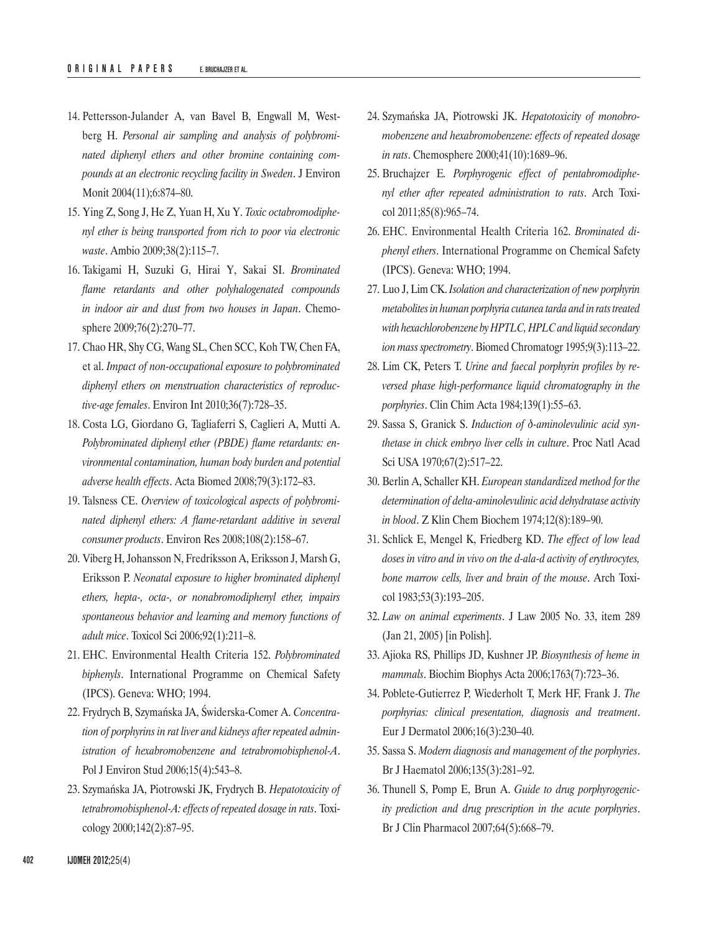- 14.  Pettersson-Julander A, van Bavel B, Engwall M, Westberg H. *Personal air sampling and analysis of polybrominated diphenyl ethers and other bromine containing compounds at an electronic recycling facility in Sweden*. J Environ Monit 2004(11);6:874–80.
- 15.  Ying Z, Song J, He Z, Yuan H, Xu Y. *Toxic octabromodiphenyl ether is being transported from rich to poor via electronic waste*. Ambio 2009;38(2):115–7.
- 16.  Takigami H, Suzuki G, Hirai Y, Sakai SI. *Brominated flame retardants and other polyhalogenated compounds in indoor air and dust from two houses in Japan*. Chemosphere 2009;76(2):270–77.
- 17.  Chao HR, Shy CG, Wang SL, Chen SCC, Koh TW, Chen FA, et al. *Impact of non-occupational exposure to polybrominated diphenyl ethers on menstruation characteristics of reproductive-age females*. Environ Int 2010;36(7):728–35.
- 18.  Costa LG, Giordano G, Tagliaferri S, Caglieri A, Mutti A. *Polybrominated diphenyl ether (PBDE) flame retardants: environmental contamination, human body burden and potential adverse health effects*. Acta Biomed 2008;79(3):172–83.
- 19.  Talsness CE. *Overview of toxicological aspects of polybrominated diphenyl ethers: A flame-retardant additive in several consumer products*. Environ Res 2008;108(2):158–67.
- 20.  Viberg H, Johansson N, Fredriksson A, Eriksson J, Marsh G, Eriksson P. *Neonatal exposure to higher brominated diphenyl ethers, hepta-, octa-, or nonabromodiphenyl ether, impairs spontaneous behavior and learning and memory functions of adult mice*. Toxicol Sci 2006;92(1):211–8.
- 21.  EHC. Environmental Health Criteria 152. *Polybrominated biphenyls*. International Programme on Chemical Safety (IPCS). Geneva: WHO; 1994.
- 22.  Frydrych B, Szymańska JA, Świderska-Comer A. *Concentration of porphyrins in rat liver and kidneys after repeated administration of hexabromobenzene and tetrabromobisphenol-A*. Pol J Environ Stud *2*006;15(4):543–8.
- 23.  Szymańska JA, Piotrowski JK, Frydrych B. *Hepatotoxicity of tetrabromobisphenol-A: effects of repeated dosage in rats*. Toxicology 2000;142(2):87–95.
- 24.  Szymańska JA, Piotrowski JK. *Hepatotoxicity of monobromobenzene and hexabromobenzene: effects of repeated dosage in rats*. Chemosphere 2000;41(10):1689–96.
- 25.  Bruchajzer E*. Porphyrogenic effect of pentabromodiphenyl ether after repeated administration to rats*. Arch Toxicol 2011;85(8):965–74.
- 26.  EHC. Environmental Health Criteria 162. *Brominated diphenyl ethers*. International Programme on Chemical Safety (IPCS). Geneva: WHO; 1994.
- 27.  Luo J, Lim CK. *Isolation and characterization of new porphyrin metabolites in human porphyria cutanea tarda and in rats treated with hexachlorobenzene by HPTLC, HPLC and liquid secondary ion mass spectrometry*. Biomed Chromatogr 1995;9(3):113–22.
- 28.  Lim CK, Peters T. *Urine and faecal porphyrin profiles by reversed phase high-performance liquid chromatography in the porphyries*. Clin Chim Acta 1984;139(1):55–63.
- 29.  Sassa S, Granick S. *Induction of δ-aminolevulinic acid synthetase in chick embryo liver cells in culture*. Proc Natl Acad Sci USA 1970;67(2):517–22.
- 30.  Berlin A, Schaller KH. *European standardized method for the determination of delta-aminolevulinic acid dehydratase activity in blood*. Z Klin Chem Biochem 1974;12(8):189–90.
- 31.  Schlick E, Mengel K, Friedberg KD. *The effect of low lead doses in vitro and in vivo on the d-ala-d activity of erythrocytes, bone marrow cells, liver and brain of the mouse*. Arch Toxicol 1983;53(3):193–205.
- 32.  *Law on animal experiments*. J Law 2005 No. 33, item 289 (Jan 21, 2005) [in Polish].
- 33.  Ajioka RS, Phillips JD, Kushner JP. *Biosynthesis of heme in mammals*. Biochim Biophys Acta 2006;1763(7):723–36.
- 34.  Poblete-Gutierrez P, Wiederholt T, Merk HF, Frank J. *The porphyrias: clinical presentation, diagnosis and treatment*. Eur J Dermatol 2006;16(3):230–40.
- 35.  Sassa S. *Modern diagnosis and management of the porphyries*. Br J Haematol 2006;135(3):281–92.
- 36.  Thunell S, Pomp E, Brun A. *Guide to drug porphyrogenicity prediction and drug prescription in the acute porphyries*. Br J Clin Pharmacol 2007;64(5):668–79.